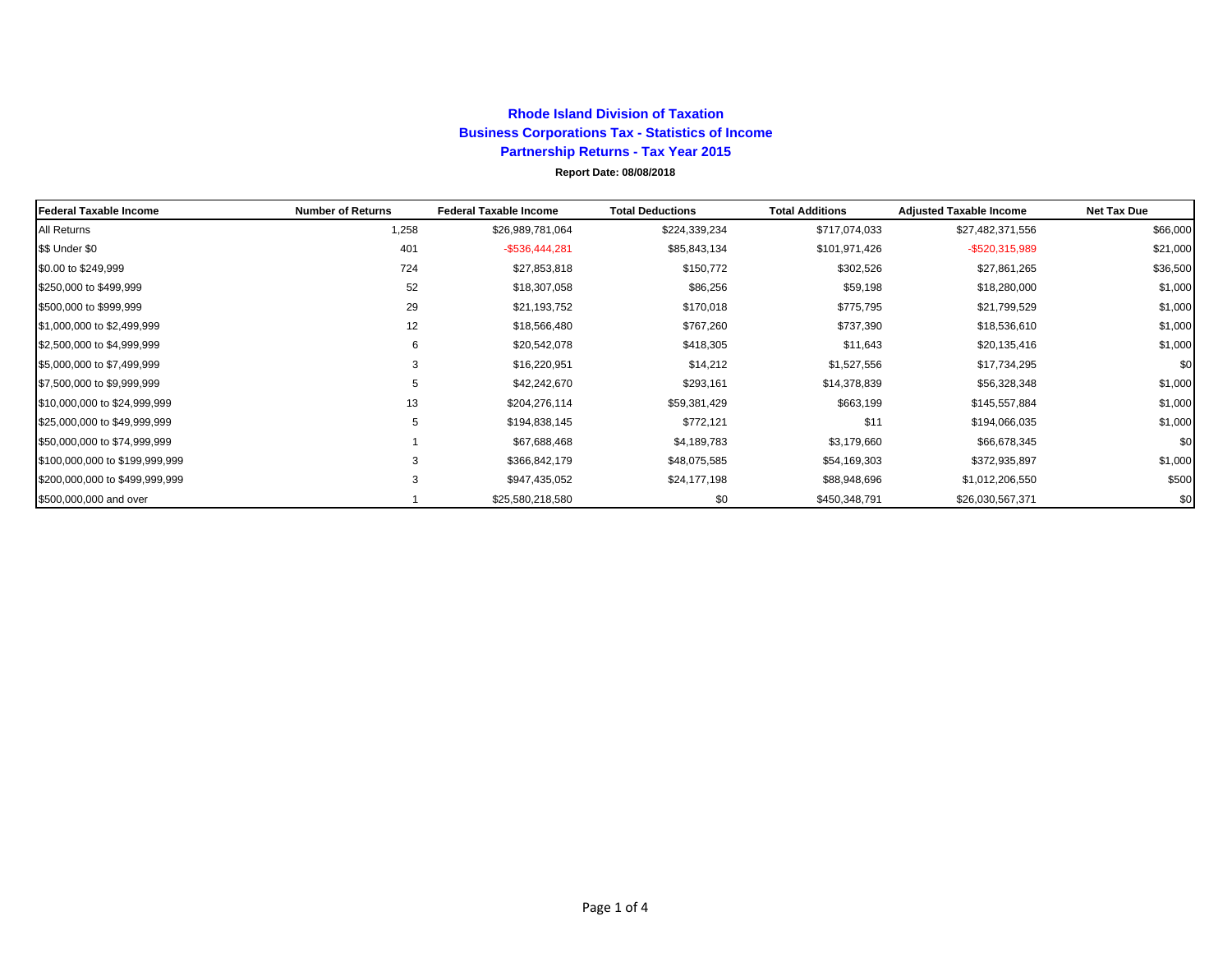## **Rhode Island Division of Taxation Business Corporations Tax - Statistics of Income Partnership Returns - Tax Year 2015 Report Date: 08/08/2018**

| Federal Taxable Income         | <b>Number of Returns</b> | <b>Federal Taxable Income</b> | <b>Total Deductions</b> | <b>Total Additions</b> | <b>Adjusted Taxable Income</b> | <b>Net Tax Due</b> |
|--------------------------------|--------------------------|-------------------------------|-------------------------|------------------------|--------------------------------|--------------------|
| All Returns                    | 1,258                    | \$26,989,781,064              | \$224,339,234           | \$717,074,033          | \$27,482,371,556               | \$66,000           |
| \$\$ Under \$0                 | 401                      | $-$536,444,281$               | \$85,843,134            | \$101,971,426          | -\$520,315,989                 | \$21,000           |
| \$0.00 to \$249,999            | 724                      | \$27,853,818                  | \$150,772               | \$302,526              | \$27,861,265                   | \$36,500           |
| \$250,000 to \$499,999         | 52                       | \$18,307,058                  | \$86,256                | \$59,198               | \$18,280,000                   | \$1,000            |
| \$500,000 to \$999,999         | 29                       | \$21,193,752                  | \$170,018               | \$775,795              | \$21,799,529                   | \$1,000            |
| \$1,000,000 to \$2,499,999     | 12                       | \$18,566,480                  | \$767,260               | \$737,390              | \$18,536,610                   | \$1,000            |
| \$2,500,000 to \$4,999,999     | 6                        | \$20,542,078                  | \$418,305               | \$11,643               | \$20,135,416                   | \$1,000            |
| \$5,000,000 to \$7,499,999     | 3                        | \$16,220,951                  | \$14,212                | \$1,527,556            | \$17,734,295                   | \$0                |
| \$7,500,000 to \$9,999,999     | 5                        | \$42,242,670                  | \$293,161               | \$14,378,839           | \$56,328,348                   | \$1,000            |
| \$10,000,000 to \$24,999,999   | 13                       | \$204,276,114                 | \$59,381,429            | \$663,199              | \$145,557,884                  | \$1,000            |
| \$25,000,000 to \$49,999,999   | 5                        | \$194,838,145                 | \$772,121               | \$11                   | \$194,066,035                  | \$1,000            |
| \$50,000,000 to \$74,999,999   |                          | \$67,688,468                  | \$4,189,783             | \$3,179,660            | \$66,678,345                   | \$0                |
| \$100,000,000 to \$199,999,999 | 3                        | \$366,842,179                 | \$48,075,585            | \$54,169,303           | \$372,935,897                  | \$1,000            |
| \$200,000,000 to \$499,999,999 | 3                        | \$947,435,052                 | \$24,177,198            | \$88,948,696           | \$1,012,206,550                | \$500              |
| \$500,000,000 and over         |                          | \$25,580,218,580              | \$0                     | \$450,348,791          | \$26,030,567,371               | \$0                |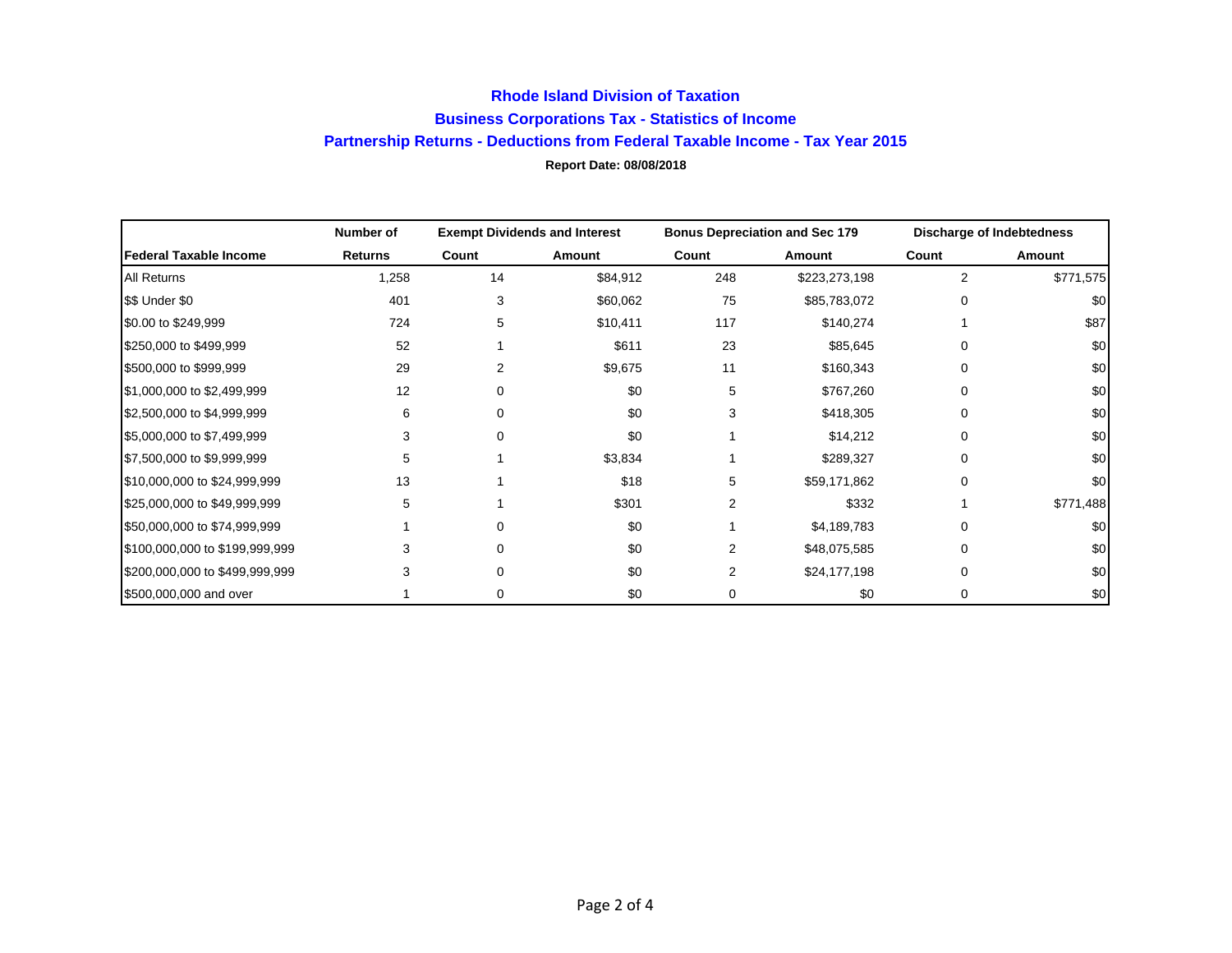## **Rhode Island Division of Taxation Business Corporations Tax - Statistics of Income Partnership Returns - Deductions from Federal Taxable Income - Tax Year 2015 Report Date: 08/08/2018**

|                                | Number of      | <b>Exempt Dividends and Interest</b> |          | <b>Bonus Depreciation and Sec 179</b> |               | <b>Discharge of Indebtedness</b> |           |
|--------------------------------|----------------|--------------------------------------|----------|---------------------------------------|---------------|----------------------------------|-----------|
| Federal Taxable Income         | <b>Returns</b> | Count                                | Amount   | Count                                 | Amount        | Count                            | Amount    |
| <b>All Returns</b>             | 1,258          | 14                                   | \$84,912 | 248                                   | \$223,273,198 | $\overline{2}$                   | \$771,575 |
| \$\$ Under \$0                 | 401            | 3                                    | \$60,062 | 75                                    | \$85,783,072  | 0                                | \$0       |
| \$0.00 to \$249,999            | 724            | 5                                    | \$10,411 | 117                                   | \$140,274     |                                  | \$87      |
| \$250,000 to \$499,999         | 52             |                                      | \$611    | 23                                    | \$85,645      |                                  | \$0       |
| \$500,000 to \$999,999         | 29             | 2                                    | \$9,675  | 11                                    | \$160,343     | <sup>0</sup>                     | \$0       |
| \$1,000,000 to \$2,499,999     | 12             | 0                                    | \$0      | 5                                     | \$767,260     | 0                                | \$0       |
| \$2,500,000 to \$4,999,999     | 6              | 0                                    | \$0      | 3                                     | \$418,305     | 0                                | \$0       |
| \$5,000,000 to \$7,499,999     | 3              | 0                                    | \$0      |                                       | \$14,212      | $\Omega$                         | \$0       |
| \$7,500,000 to \$9,999,999     | 5              |                                      | \$3,834  |                                       | \$289,327     | O                                | \$0       |
| \$10,000,000 to \$24,999,999   | 13             |                                      | \$18     | 5                                     | \$59,171,862  | <sup>0</sup>                     | \$0       |
| \$25,000,000 to \$49,999,999   | 5.             |                                      | \$301    | 2                                     | \$332         |                                  | \$771,488 |
| \$50,000,000 to \$74,999,999   |                | 0                                    | \$0      |                                       | \$4,189,783   | 0                                | \$0       |
| \$100,000,000 to \$199,999,999 |                | 0                                    | \$0      | 2                                     | \$48,075,585  | 0                                | \$0       |
| \$200,000,000 to \$499,999,999 |                |                                      | \$0      | 2                                     | \$24,177,198  | $\Omega$                         | \$0       |
| \$500,000,000 and over         |                | 0                                    | \$0      | 0                                     | \$0           | 0                                | \$0       |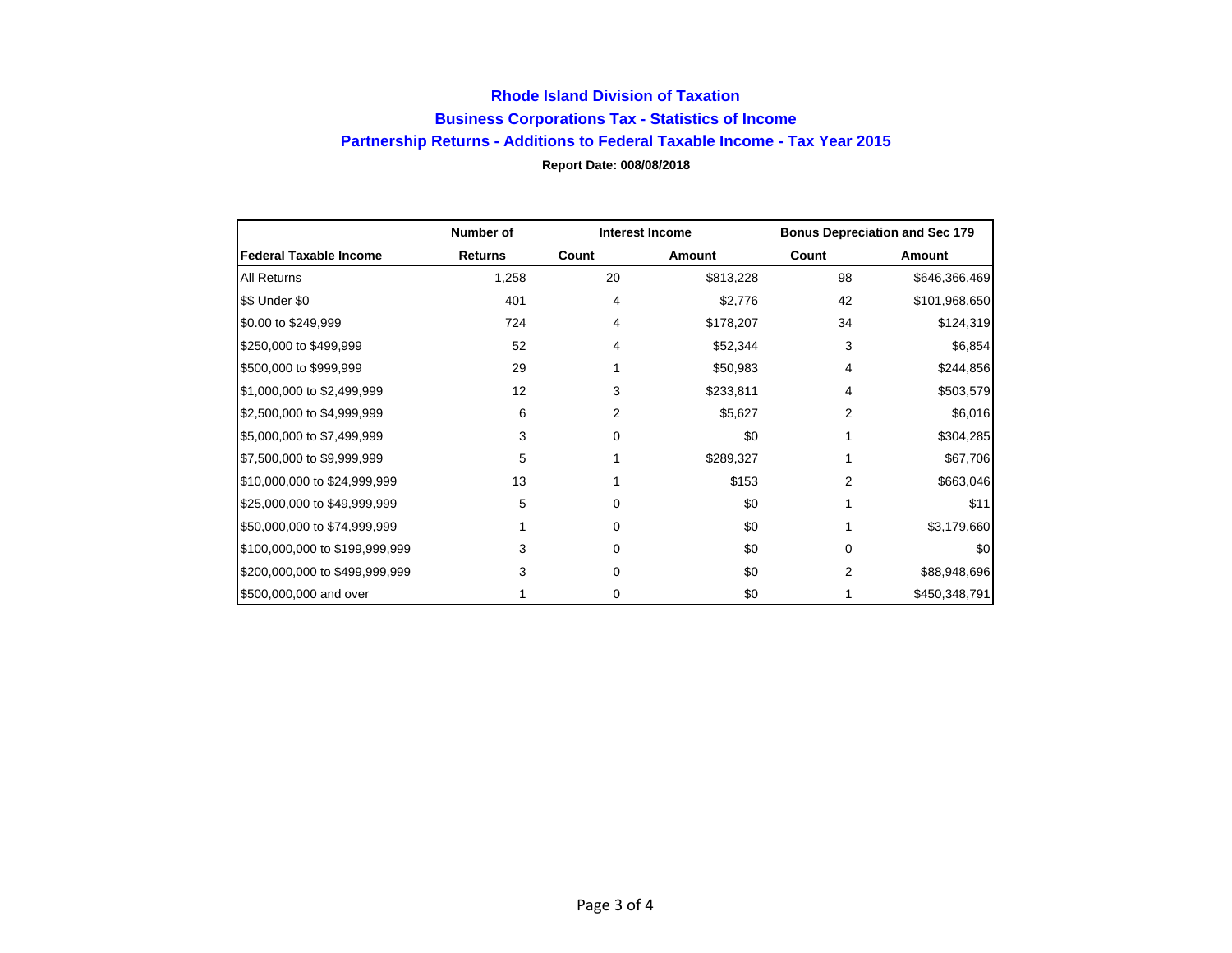## **Rhode Island Division of Taxation Business Corporations Tax - Statistics of Income Partnership Returns - Additions to Federal Taxable Income - Tax Year 2015 Report Date: 008/08/2018**

|                                | Number of      | <b>Interest Income</b> |           | <b>Bonus Depreciation and Sec 179</b> |               |
|--------------------------------|----------------|------------------------|-----------|---------------------------------------|---------------|
| <b>Federal Taxable Income</b>  | <b>Returns</b> | Count                  | Amount    | Count                                 | Amount        |
| <b>All Returns</b>             | 1,258          | 20                     | \$813,228 | 98                                    | \$646,366,469 |
| \$\$ Under \$0                 | 401            | 4                      | \$2,776   | 42                                    | \$101,968,650 |
| \$0.00 to \$249,999            | 724            | 4                      | \$178,207 | 34                                    | \$124,319     |
| \$250,000 to \$499,999         | 52             | 4                      | \$52,344  | 3                                     | \$6,854       |
| \$500,000 to \$999,999         | 29             |                        | \$50,983  | 4                                     | \$244,856     |
| \$1,000,000 to \$2,499,999     | 12             | 3                      | \$233,811 | 4                                     | \$503,579     |
| \$2,500,000 to \$4,999,999     | 6              | 2                      | \$5,627   | 2                                     | \$6,016       |
| \$5,000,000 to \$7,499,999     | 3              | 0                      | \$0       |                                       | \$304,285     |
| \$7,500,000 to \$9,999,999     | 5              |                        | \$289,327 |                                       | \$67,706      |
| \$10,000,000 to \$24,999,999   | 13             |                        | \$153     | 2                                     | \$663,046     |
| \$25,000,000 to \$49,999,999   | 5              | 0                      | \$0       |                                       | \$11          |
| \$50,000,000 to \$74,999,999   |                | 0                      | \$0       |                                       | \$3,179,660   |
| \$100,000,000 to \$199,999,999 | 3              | 0                      | \$0       | 0                                     | \$0           |
| \$200,000,000 to \$499,999,999 | 3              | 0                      | \$0       | 2                                     | \$88,948,696  |
| \$500,000,000 and over         |                | 0                      | \$0       |                                       | \$450,348,791 |